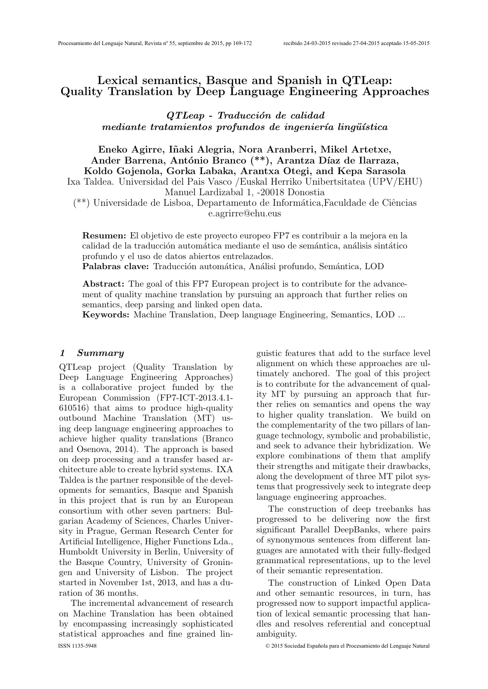# Lexical semantics, Basque and Spanish in QTLeap: Quality Translation by Deep Language Engineering Approaches

QTLeap - Traducción de calidad mediante tratamientos profundos de ingeniería lingüística

Eneko Agirre, I˜naki Alegria, Nora Aranberri, Mikel Artetxe, Ander Barrena, António Branco (\*\*), Arantza Díaz de Ilarraza, Koldo Gojenola, Gorka Labaka, Arantxa Otegi, and Kepa Sarasola Ixa Taldea. Universidad del Pais Vasco /Euskal Herriko Unibertsitatea (UPV/EHU) Manuel Lardizabal 1, -20018 Donostia

 $(**)$  Universidade de Lisboa, Departamento de Informática, Faculdade de Ciências e.agrirre@ehu.eus

Resumen: El objetivo de este proyecto europeo FP7 es contribuir a la mejora en la calidad de la traducción automática mediante el uso de semántica, análisis sintático profundo y el uso de datos abiertos entrelazados.

Palabras clave: Traducción automática, Análisi profundo, Semántica, LOD

Abstract: The goal of this FP7 European project is to contribute for the advancement of quality machine translation by pursuing an approach that further relies on semantics, deep parsing and linked open data.

Keywords: Machine Translation, Deep language Engineering, Semantics, LOD ...

#### 1 Summary

QTLeap project (Quality Translation by Deep Language Engineering Approaches) is a collaborative project funded by the European Commission (FP7-ICT-2013.4.1- 610516) that aims to produce high-quality outbound Machine Translation (MT) using deep language engineering approaches to achieve higher quality translations (Branco and Osenova, 2014). The approach is based on deep processing and a transfer based architecture able to create hybrid systems. IXA Taldea is the partner responsible of the developments for semantics, Basque and Spanish in this project that is run by an European consortium with other seven partners: Bulgarian Academy of Sciences, Charles University in Prague, German Research Center for Artificial Intelligence, Higher Functions Lda., Humboldt University in Berlin, University of the Basque Country, University of Groningen and University of Lisbon. The project started in November 1st, 2013, and has a duration of 36 months.

The incremental advancement of research on Machine Translation has been obtained by encompassing increasingly sophisticated statistical approaches and fine grained lin-ISSN 1135-5948 © 2015 Sociedad Española para el Procesamiento del Lenguaje Natural

guistic features that add to the surface level alignment on which these approaches are ultimately anchored. The goal of this project is to contribute for the advancement of quality MT by pursuing an approach that further relies on semantics and opens the way to higher quality translation. We build on the complementarity of the two pillars of language technology, symbolic and probabilistic, and seek to advance their hybridization. We explore combinations of them that amplify their strengths and mitigate their drawbacks, along the development of three MT pilot systems that progressively seek to integrate deep language engineering approaches.

The construction of deep treebanks has progressed to be delivering now the first significant Parallel DeepBanks, where pairs of synonymous sentences from different languages are annotated with their fully-fledged grammatical representations, up to the level of their semantic representation.

The construction of Linked Open Data and other semantic resources, in turn, has progressed now to support impactful application of lexical semantic processing that handles and resolves referential and conceptual ambiguity.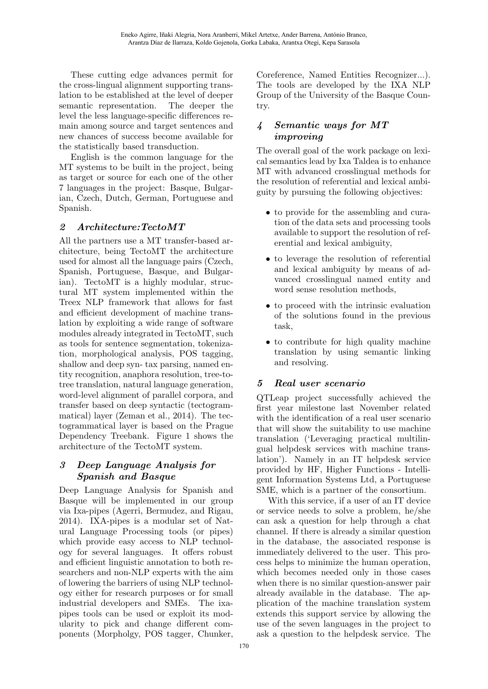These cutting edge advances permit for the cross-lingual alignment supporting translation to be established at the level of deeper semantic representation. The deeper the level the less language-specific differences remain among source and target sentences and new chances of success become available for the statistically based transduction.

English is the common language for the MT systems to be built in the project, being as target or source for each one of the other 7 languages in the project: Basque, Bulgarian, Czech, Dutch, German, Portuguese and Spanish.

## 2 Architecture:TectoMT

All the partners use a MT transfer-based architecture, being TectoMT the architecture used for almost all the language pairs (Czech, Spanish, Portuguese, Basque, and Bulgarian). TectoMT is a highly modular, structural MT system implemented within the Treex NLP framework that allows for fast and efficient development of machine translation by exploiting a wide range of software modules already integrated in TectoMT, such as tools for sentence segmentation, tokenization, morphological analysis, POS tagging, shallow and deep syn- tax parsing, named entity recognition, anaphora resolution, tree-totree translation, natural language generation, word-level alignment of parallel corpora, and transfer based on deep syntactic (tectogrammatical) layer (Zeman et al., 2014). The tectogrammatical layer is based on the Prague Dependency Treebank. Figure 1 shows the architecture of the TectoMT system.

## 3 Deep Language Analysis for Spanish and Basque

Deep Language Analysis for Spanish and Basque will be implemented in our group via Ixa-pipes (Agerri, Bermudez, and Rigau, 2014). IXA-pipes is a modular set of Natural Language Processing tools (or pipes) which provide easy access to NLP technology for several languages. It offers robust and efficient linguistic annotation to both researchers and non-NLP experts with the aim of lowering the barriers of using NLP technology either for research purposes or for small industrial developers and SMEs. The ixapipes tools can be used or exploit its modularity to pick and change different components (Morpholgy, POS tagger, Chunker,

Coreference, Named Entities Recognizer...). The tools are developed by the IXA NLP Group of the University of the Basque Country.

## 4 Semantic ways for MT improving

The overall goal of the work package on lexical semantics lead by Ixa Taldea is to enhance MT with advanced crosslingual methods for the resolution of referential and lexical ambiguity by pursuing the following objectives:

- to provide for the assembling and curation of the data sets and processing tools available to support the resolution of referential and lexical ambiguity,
- to leverage the resolution of referential and lexical ambiguity by means of advanced crosslingual named entity and word sense resolution methods,
- to proceed with the intrinsic evaluation of the solutions found in the previous task,
- to contribute for high quality machine translation by using semantic linking and resolving.

# 5 Real user scenario

QTLeap project successfully achieved the first year milestone last November related with the identification of a real user scenario that will show the suitability to use machine translation ('Leveraging practical multilingual helpdesk services with machine translation'). Namely in an IT helpdesk service provided by HF, Higher Functions - Intelligent Information Systems Ltd, a Portuguese SME, which is a partner of the consortium.

With this service, if a user of an IT device or service needs to solve a problem, he/she can ask a question for help through a chat channel. If there is already a similar question in the database, the associated response is immediately delivered to the user. This process helps to minimize the human operation, which becomes needed only in those cases when there is no similar question-answer pair already available in the database. The application of the machine translation system extends this support service by allowing the use of the seven languages in the project to ask a question to the helpdesk service. The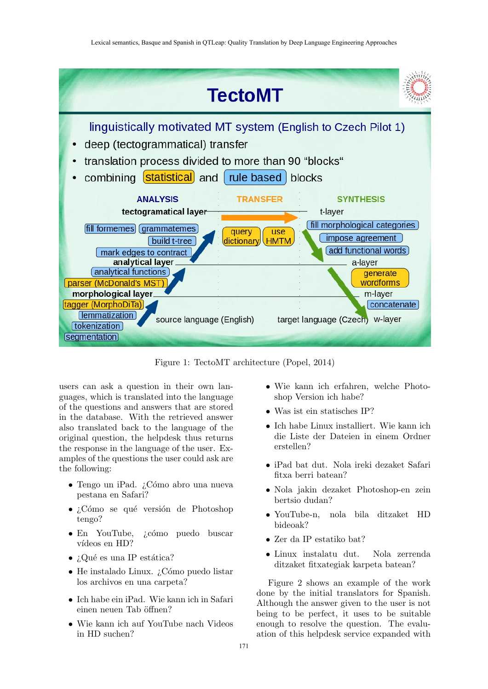

Figure 1: TectoMT architecture (Popel, 2014)

users can ask a question in their own languages, which is translated into the language of the questions and answers that are stored in the database. With the retrieved answer also translated back to the language of the original question, the helpdesk thus returns the response in the language of the user. Examples of the questions the user could ask are the following:

- Tengo un iPad. ¿Cómo abro una nueva pestana en Safari?
- ¿Cómo se qué versión de Photoshop tengo?
- En YouTube, ¿cómo puedo buscar vídeos en HD?
- ¿Qué es una IP estática?
- $\bullet$  He instalado Linux.  $\delta$ Cómo puedo listar los archivos en una carpeta?
- Ich habe ein iPad. Wie kann ich in Safari einen neuen Tab öffnen?
- Wie kann ich auf YouTube nach Videos in HD suchen?
- Wie kann ich erfahren, welche Photoshop Version ich habe?
- Was ist ein statisches IP?
- Ich habe Linux installiert. Wie kann ich die Liste der Dateien in einem Ordner erstellen?
- iPad bat dut. Nola ireki dezaket Safari fitxa berri batean?
- Nola jakin dezaket Photoshop-en zein bertsio dudan?
- YouTube-n, nola bila ditzaket HD bideoak?
- Zer da IP estatiko bat?
- Linux instalatu dut. Nola zerrenda ditzaket fitxategiak karpeta batean?

Figure 2 shows an example of the work done by the initial translators for Spanish. Although the answer given to the user is not being to be perfect, it uses to be suitable enough to resolve the question. The evaluation of this helpdesk service expanded with